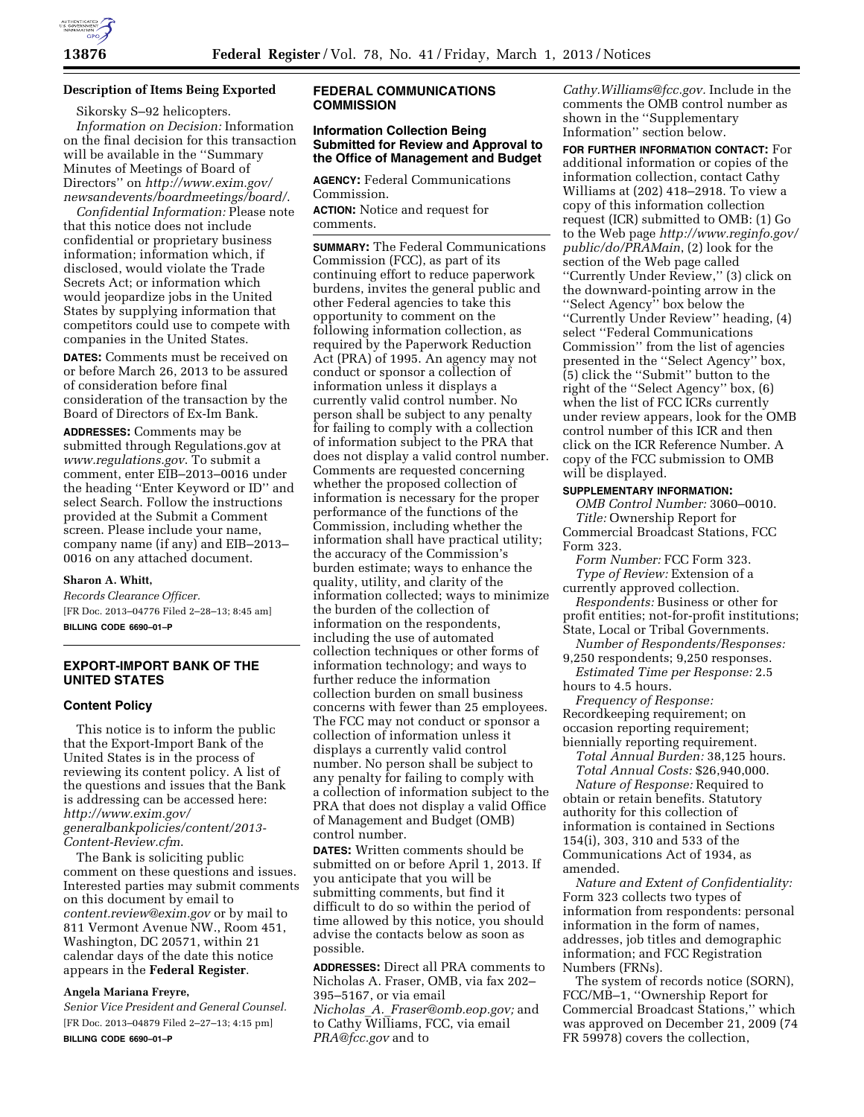

# **Description of Items Being Exported**

Sikorsky S–92 helicopters. *Information on Decision:* Information on the final decision for this transaction will be available in the ''Summary Minutes of Meetings of Board of Directors'' on *[http://www.exim.gov/](http://www.exim.gov/newsandevents/boardmeetings/board/)  [newsandevents/boardmeetings/board/](http://www.exim.gov/newsandevents/boardmeetings/board/)*.

*Confidential Information:* Please note that this notice does not include confidential or proprietary business information; information which, if disclosed, would violate the Trade Secrets Act; or information which would jeopardize jobs in the United States by supplying information that competitors could use to compete with companies in the United States.

**DATES:** Comments must be received on or before March 26, 2013 to be assured of consideration before final consideration of the transaction by the Board of Directors of Ex-Im Bank.

**ADDRESSES:** Comments may be submitted through Regulations.gov at *[www.regulations.gov](http://www.regulations.gov)*. To submit a comment, enter EIB–2013–0016 under the heading ''Enter Keyword or ID'' and select Search. Follow the instructions provided at the Submit a Comment screen. Please include your name, company name (if any) and EIB–2013– 0016 on any attached document.

### **Sharon A. Whitt,**

*Records Clearance Officer.*  [FR Doc. 2013–04776 Filed 2–28–13; 8:45 am] **BILLING CODE 6690–01–P** 

# **EXPORT-IMPORT BANK OF THE UNITED STATES**

### **Content Policy**

This notice is to inform the public that the Export-Import Bank of the United States is in the process of reviewing its content policy. A list of the questions and issues that the Bank is addressing can be accessed here: *[http://www.exim.gov/](http://www.exim.gov/generalbankpolicies/content/2013-Content-Review.cfm) [generalbankpolicies/content/2013-](http://www.exim.gov/generalbankpolicies/content/2013-Content-Review.cfm)  [Content-Review.cfm](http://www.exim.gov/generalbankpolicies/content/2013-Content-Review.cfm)*.

The Bank is soliciting public comment on these questions and issues. Interested parties may submit comments on this document by email to *[content.review@exim.gov](mailto:content.review@exim.gov)* or by mail to 811 Vermont Avenue NW., Room 451, Washington, DC 20571, within 21 calendar days of the date this notice appears in the **Federal Register**.

### **Angela Mariana Freyre,**

*Senior Vice President and General Counsel.*  [FR Doc. 2013–04879 Filed 2–27–13; 4:15 pm] **BILLING CODE 6690–01–P** 

# **FEDERAL COMMUNICATIONS COMMISSION**

### **Information Collection Being Submitted for Review and Approval to the Office of Management and Budget**

**AGENCY:** Federal Communications Commission.

**ACTION:** Notice and request for comments.

**SUMMARY:** The Federal Communications Commission (FCC), as part of its continuing effort to reduce paperwork burdens, invites the general public and other Federal agencies to take this opportunity to comment on the following information collection, as required by the Paperwork Reduction Act (PRA) of 1995. An agency may not conduct or sponsor a collection of information unless it displays a currently valid control number. No person shall be subject to any penalty for failing to comply with a collection of information subject to the PRA that does not display a valid control number. Comments are requested concerning whether the proposed collection of information is necessary for the proper performance of the functions of the Commission, including whether the information shall have practical utility; the accuracy of the Commission's burden estimate; ways to enhance the quality, utility, and clarity of the information collected; ways to minimize the burden of the collection of information on the respondents, including the use of automated collection techniques or other forms of information technology; and ways to further reduce the information collection burden on small business concerns with fewer than 25 employees. The FCC may not conduct or sponsor a collection of information unless it displays a currently valid control number. No person shall be subject to any penalty for failing to comply with a collection of information subject to the PRA that does not display a valid Office of Management and Budget (OMB) control number.

**DATES:** Written comments should be submitted on or before April 1, 2013. If you anticipate that you will be submitting comments, but find it difficult to do so within the period of time allowed by this notice, you should advise the contacts below as soon as possible.

**ADDRESSES:** Direct all PRA comments to Nicholas A. Fraser, OMB, via fax 202– 395–5167, or via email

*Nicholas*\_*A.*\_*[Fraser@omb.eop.gov;](mailto:Nicholas_A._Fraser@omb.eop.gov)* and to Cathy Williams, FCC, via email *[PRA@fcc.gov](mailto:PRA@fcc.gov)* and to

*[Cathy.Williams@fcc.gov.](mailto:Cathy.Williams@fcc.gov)* Include in the comments the OMB control number as shown in the ''Supplementary Information'' section below.

**FOR FURTHER INFORMATION CONTACT:** For additional information or copies of the information collection, contact Cathy Williams at (202) 418–2918. To view a copy of this information collection request (ICR) submitted to OMB: (1) Go to the Web page *[http://www.reginfo.gov/](http://www.reginfo.gov/public/do/PRAMain)  [public/do/PRAMain](http://www.reginfo.gov/public/do/PRAMain)*, (2) look for the section of the Web page called ''Currently Under Review,'' (3) click on the downward-pointing arrow in the ''Select Agency'' box below the ''Currently Under Review'' heading, (4) select ''Federal Communications Commission'' from the list of agencies presented in the ''Select Agency'' box, (5) click the ''Submit'' button to the right of the ''Select Agency'' box, (6) when the list of FCC ICRs currently under review appears, look for the OMB control number of this ICR and then click on the ICR Reference Number. A copy of the FCC submission to OMB will be displayed.

# **SUPPLEMENTARY INFORMATION:**

*OMB Control Number:* 3060–0010. *Title:* Ownership Report for Commercial Broadcast Stations, FCC Form 323.

*Form Number:* FCC Form 323. *Type of Review:* Extension of a

- currently approved collection. *Respondents:* Business or other for
- profit entities; not-for-profit institutions; State, Local or Tribal Governments.
- *Number of Respondents/Responses:*  9,250 respondents; 9,250 responses.
- *Estimated Time per Response:* 2.5 hours to 4.5 hours.

*Frequency of Response:*  Recordkeeping requirement; on occasion reporting requirement; biennially reporting requirement.

*Total Annual Burden:* 38,125 hours. *Total Annual Costs:* \$26,940,000. *Nature of Response:* Required to obtain or retain benefits. Statutory authority for this collection of information is contained in Sections 154(i), 303, 310 and 533 of the Communications Act of 1934, as amended.

*Nature and Extent of Confidentiality:*  Form 323 collects two types of information from respondents: personal information in the form of names, addresses, job titles and demographic information; and FCC Registration Numbers (FRNs).

The system of records notice (SORN), FCC/MB–1, ''Ownership Report for Commercial Broadcast Stations,'' which was approved on December 21, 2009 (74 FR 59978) covers the collection,